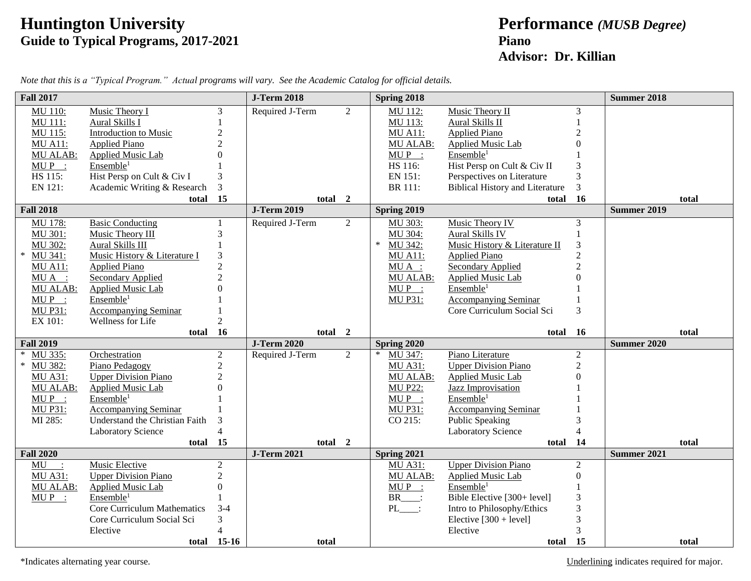## **Huntington University Performance** *(MUSB Degree)* **Guide to Typical Programs, 2017-2021 Piano**

## **Advisor: Dr. Killian**

| <b>Fall 2017</b>  |                                |                         | <b>J-Term 2018</b>                | Spring 2018       |                                        |                  | <b>Summer 2018</b> |
|-------------------|--------------------------------|-------------------------|-----------------------------------|-------------------|----------------------------------------|------------------|--------------------|
| <b>MU 110:</b>    | Music Theory I                 | 3                       | Required J-Term<br>$\overline{2}$ | MU 112:           | Music Theory II                        | 3                |                    |
| MU 111:           | Aural Skills I                 |                         |                                   | MU 113:           | Aural Skills II                        |                  |                    |
| MU 115:           | <b>Introduction to Music</b>   | $\overline{2}$          |                                   | <b>MU A11:</b>    | <b>Applied Piano</b>                   | $\overline{c}$   |                    |
| <b>MU A11:</b>    | <b>Applied Piano</b>           | $\mathfrak{D}$          |                                   | <b>MU ALAB:</b>   | Applied Music Lab                      | $\Omega$         |                    |
| <b>MU ALAB:</b>   | <b>Applied Music Lab</b>       | $\Omega$                |                                   | $MUP$ :           | Ensemble <sup>1</sup>                  |                  |                    |
| $MUP$ :           | Ensemble <sup>1</sup>          |                         |                                   | HS 116:           | Hist Persp on Cult & Civ II            | 3                |                    |
| HS 115:           | Hist Persp on Cult & Civ I     | 3                       |                                   | EN 151:           | Perspectives on Literature             | 3                |                    |
| EN 121:           | Academic Writing & Research    | 3                       |                                   | BR 111:           | <b>Biblical History and Literature</b> | 3                |                    |
|                   | total                          | 15                      | total 2                           |                   |                                        | total 16         | total              |
| <b>Fall 2018</b>  |                                |                         | <b>J-Term 2019</b>                | Spring 2019       |                                        |                  | <b>Summer 2019</b> |
| MU 178:           | <b>Basic Conducting</b>        | $\mathbf{1}$            | $\overline{2}$<br>Required J-Term | MU 303:           | <b>Music Theory IV</b>                 | 3                |                    |
| MU 301:           | Music Theory III               | $\overline{3}$          |                                   | MU 304:           | Aural Skills IV                        |                  |                    |
| MU 302:           | Aural Skills III               |                         |                                   | $\ast$<br>MU 342: | Music History & Literature II          | 3                |                    |
| MU 341:           | Music History & Literature I   | 3                       |                                   | <b>MU A11:</b>    | <b>Applied Piano</b>                   | $\overline{2}$   |                    |
| <b>MU A11:</b>    | <b>Applied Piano</b>           | $\overline{2}$          |                                   | $MU A$ :          | <b>Secondary Applied</b>               | $\overline{c}$   |                    |
| $MU A$ :          | Secondary Applied              | $\mathfrak{D}$          |                                   | MU ALAB:          | Applied Music Lab                      | $\Omega$         |                    |
| <b>MU ALAB:</b>   | <b>Applied Music Lab</b>       |                         |                                   | $MUP$ :           | Ensemble <sup>1</sup>                  |                  |                    |
| $MUP$ :           | Ensemble <sup>1</sup>          |                         |                                   | <b>MU P31:</b>    | <b>Accompanying Seminar</b>            |                  |                    |
| <b>MU P31:</b>    | <b>Accompanying Seminar</b>    |                         |                                   |                   | Core Curriculum Social Sci             | 3                |                    |
| EX 101:           | Wellness for Life              | $\overline{2}$          |                                   |                   |                                        |                  |                    |
|                   | total                          | 16                      | total 2                           |                   |                                        | total 16         | total              |
| <b>Fall 2019</b>  |                                |                         | <b>J-Term 2020</b>                | Spring 2020       |                                        |                  | <b>Summer 2020</b> |
| MU 335:<br>$\ast$ | Orchestration                  | $\overline{2}$          | Required J-Term<br>$\overline{2}$ | $\ast$<br>MU 347: | Piano Literature                       | $\overline{2}$   |                    |
| MU 382:           | Piano Pedagogy                 | $\overline{2}$          |                                   | <b>MU A31:</b>    | <b>Upper Division Piano</b>            | 2                |                    |
| <b>MU A31:</b>    | <b>Upper Division Piano</b>    | $\overline{2}$          |                                   | <b>MU ALAB:</b>   | Applied Music Lab                      | $\overline{0}$   |                    |
| <b>MU ALAB:</b>   | <b>Applied Music Lab</b>       | $\Omega$                |                                   | <b>MU P22:</b>    | <b>Jazz Improvisation</b>              |                  |                    |
| $MUP$ :           | Ensemble <sup>1</sup>          |                         |                                   | $MUP$ :           | Ensemble <sup>1</sup>                  |                  |                    |
| <b>MU P31:</b>    | <b>Accompanying Seminar</b>    |                         |                                   | <b>MU P31:</b>    | <b>Accompanying Seminar</b>            |                  |                    |
| MI 285:           |                                |                         |                                   |                   |                                        |                  |                    |
|                   | Understand the Christian Faith | 3                       |                                   | CO 215:           | <b>Public Speaking</b>                 | 3                |                    |
|                   | <b>Laboratory Science</b>      | $\overline{4}$          |                                   |                   | <b>Laboratory Science</b>              | 4                |                    |
|                   | total                          | 15                      | total 2                           |                   |                                        | total 14         | total              |
| <b>Fall 2020</b>  |                                |                         | <b>J-Term 2021</b>                | Spring 2021       |                                        |                  | Summer 2021        |
| MU<br>$\sim$ 1.   | Music Elective                 | 2                       |                                   | <b>MU A31:</b>    | <b>Upper Division Piano</b>            | $\overline{2}$   |                    |
| <b>MU A31:</b>    | <b>Upper Division Piano</b>    | $\overline{2}$          |                                   | <b>MU ALAB:</b>   | <b>Applied Music Lab</b>               | $\boldsymbol{0}$ |                    |
| <b>MU ALAB:</b>   | Applied Music Lab              | $\boldsymbol{0}$        |                                   | $MU P$ :          | Ensemble <sup>1</sup>                  |                  |                    |
| $MUP$ :           | Ensemble <sup>1</sup>          |                         |                                   | BR :              | Bible Elective [300+ level]            | 3                |                    |
|                   | Core Curriculum Mathematics    | $3-4$                   |                                   | $PL$ :            | Intro to Philosophy/Ethics             | 3                |                    |
|                   | Core Curriculum Social Sci     | 3                       |                                   |                   | Elective $[300 + level]$               | 3                |                    |
|                   | Elective                       | $\Delta$<br>total 15-16 | total                             |                   | Elective<br>total                      | 3<br><b>15</b>   | total              |

*Note that this is a "Typical Program." Actual programs will vary. See the Academic Catalog for official details.*

\*Indicates alternating year course. Underlining indicates required for major.